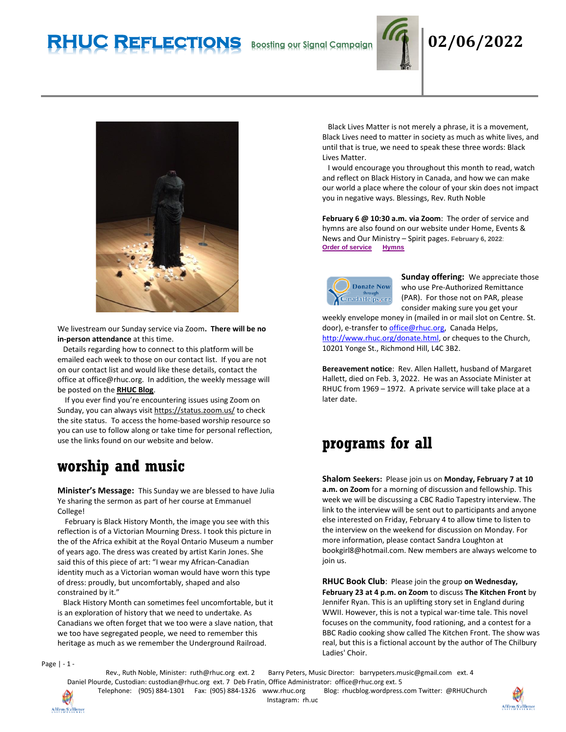# **RHUC Reflections Boosting our Signal Campaign 02/06/2022**





We livestream our Sunday service via Zoom**. There will be no in-person attendance** at this time.

 Details regarding how to connect to this platform will be emailed each week to those on our contact list. If you are not on our contact list and would like these details, contact the office at office@rhuc.org. In addition, the weekly message will be posted on the **[RHUC Blog](https://rhucblog.wordpress.com/)**.

 If you ever find you're encountering issues using Zoom on Sunday, you can always visi[t https://status.zoom.us/](https://status.zoom.us/) to check the site status. To access the home-based worship resource so you can use to follow along or take time for personal reflection, use the links found on our website and below.

## **worship and music**

**Minister's Message:** This Sunday we are blessed to have Julia Ye sharing the sermon as part of her course at Emmanuel College!

 February is Black History Month, the image you see with this reflection is of a Victorian Mourning Dress. I took this picture in the of the Africa exhibit at the Royal Ontario Museum a number of years ago. The dress was created by artist Karin Jones. She said this of this piece of art: "I wear my African-Canadian identity much as a Victorian woman would have worn this type of dress: proudly, but uncomfortably, shaped and also constrained by it."

 Black History Month can sometimes feel uncomfortable, but it is an exploration of history that we need to undertake. As Canadians we often forget that we too were a slave nation, that we too have segregated people, we need to remember this heritage as much as we remember the Underground Railroad.

 Black Lives Matter is not merely a phrase, it is a movement, Black Lives need to matter in society as much as white lives, and until that is true, we need to speak these three words: Black Lives Matter.

 I would encourage you throughout this month to read, watch and reflect on Black History in Canada, and how we can make our world a place where the colour of your skin does not impact you in negative ways. Blessings, Rev. Ruth Noble

**February 6 @ 10:30 a.m. via Zoom**: The order of service and hymns are also found on our website under Home, Events & News and Our Ministry – Spirit pages. **February 6, 2022**: **Order of [service](http://rhuc.org/February%206%202022-1.pdf) [Hymns](http://rhuc.org/Hymns%20for%202022%2002%2006.pdf)**



**Sunday offering:** We appreciate those who use Pre-Authorized Remittance (PAR). For those not on PAR, please consider making sure you get your

weekly envelope money in (mailed in or mail slot on Centre. St. door), e-transfer t[o office@rhuc.org,](mailto:office@rhuc.org) Canada Helps, [http://www.rhuc.org/donate.html,](http://www.rhuc.org/donate.html) or cheques to the Church, 10201 Yonge St., Richmond Hill, L4C 3B2.

**Bereavement notice**: Rev. Allen Hallett, husband of Margaret Hallett, died on Feb. 3, 2022. He was an Associate Minister at RHUC from 1969 – 1972. A private service will take place at a later date.

### **programs for all**

**Shalom Seekers:** Please join us on **Monday, February 7 at 10 a.m. on Zoom** for a morning of discussion and fellowship. This week we will be discussing a CBC Radio Tapestry interview. The link to the interview will be sent out to participants and anyone else interested on Friday, February 4 to allow time to listen to the interview on the weekend for discussion on Monday. For more information, please contact Sandra Loughton at bookgirl8@hotmail.com. New members are always welcome to join us.

**RHUC Book Club**: Please join the group **on Wednesday, February 23 at 4 p.m. on Zoom** to discuss **The Kitchen Front** by Jennifer Ryan. This is an uplifting story set in England during WWII. However, this is not a typical war-time tale. This novel focuses on the community, food rationing, and a contest for a BBC Radio cooking show called The Kitchen Front. The show was real, but this is a fictional account by the author of The Chilbury Ladies' Choir.

Page | - 1 -

Affirm/S'affirmer

Rev., Ruth Noble, Minister: [ruth@rhuc.org](mailto:ruth@rhuc.org) ext. 2 Barry Peters, Music Director: barrypeters.music@gmail.com ext. 4 Daniel Plourde, Custodian: [custodian@rhuc.org](mailto:custodian@rhuc.org) ext. 7 Deb Fratin, Office Administrator: [office@rhuc.org](mailto:office@rhuc.org) ext. 5

Telephone: (905) 884-1301 Fax: (905) 884-1326 [www.rhuc.org](http://www.rhuc.org/) Blog: rhucblog.wordpress.com Twitter: @RHUChurch Instagram: rh.uc

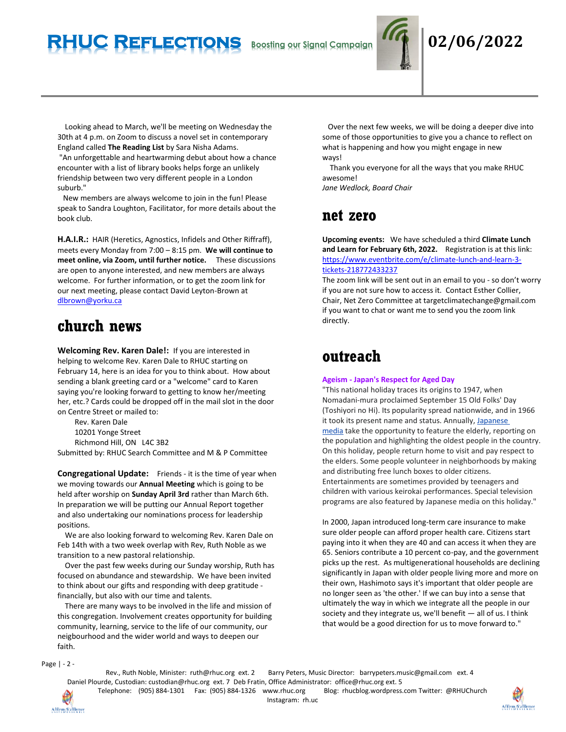

 Looking ahead to March, we'll be meeting on Wednesday the 30th at 4 p.m. on Zoom to discuss a novel set in contemporary England called **The Reading List** by Sara Nisha Adams.

"An unforgettable and heartwarming debut about how a chance encounter with a list of library books helps forge an unlikely friendship between two very different people in a London suburb."

 New members are always welcome to join in the fun! Please speak to Sandra Loughton, Facilitator, for more details about the book club.

**H.A.I.R.:** HAIR (Heretics, Agnostics, Infidels and Other Riffraff), meets every Monday from 7:00 – 8:15 pm. **We will continue to meet online, via Zoom, until further notice.** These discussions are open to anyone interested, and new members are always welcome. For further information, or to get the zoom link for our next meeting, please contact David Leyton-Brown at [dlbrown@yorku.ca](mailto:dlbrown@yorku.ca)

### **church news**

**Welcoming Rev. Karen Dale!:** If you are interested in helping to welcome Rev. Karen Dale to RHUC starting on February 14, here is an idea for you to think about. How about sending a blank greeting card or a "welcome" card to Karen saying you're looking forward to getting to know her/meeting her, etc.? Cards could be dropped off in the mail slot in the door on Centre Street or mailed to:

Rev. Karen Dale 10201 Yonge Street Richmond Hill, ON L4C 3B2

Submitted by: RHUC Search Committee and M & P Committee

**Congregational Update:** Friends - it is the time of year when we moving towards our **Annual Meeting** which is going to be held after worship on **Sunday April 3rd** rather than March 6th. In preparation we will be putting our Annual Report together and also undertaking our nominations process for leadership positions.

 We are also looking forward to welcoming Rev. Karen Dale on Feb 14th with a two week overlap with Rev, Ruth Noble as we transition to a new pastoral relationship.

 Over the past few weeks during our Sunday worship, Ruth has focused on abundance and stewardship. We have been invited to think about our gifts and responding with deep gratitude financially, but also with our time and talents.

 There are many ways to be involved in the life and mission of this congregation. Involvement creates opportunity for building community, learning, service to the life of our community, our neigbourhood and the wider world and ways to deepen our faith.

 Over the next few weeks, we will be doing a deeper dive into some of those opportunities to give you a chance to reflect on what is happening and how you might engage in new ways!

 Thank you everyone for all the ways that you make RHUC awesome!

*Jane Wedlock, Board Chair*

### **net zero**

**Upcoming events:** We have scheduled a third **Climate Lunch and Learn for February 6th, 2022.** Registration is at this link: [https://www.eventbrite.com/e/climate-lunch-and-learn-3](https://www.eventbrite.com/e/climate-lunch-and-learn-3-tickets-218772433237) [tickets-218772433237](https://www.eventbrite.com/e/climate-lunch-and-learn-3-tickets-218772433237)

The zoom link will be sent out in an email to you - so don't worry if you are not sure how to access it. Contact Esther Collier, Chair, Net Zero Committee at targetclimatechange@gmail.com if you want to chat or want me to send you the zoom link directly.

### **outreach**

### **Ageism - Japan's Respect for Aged Day**

"This national holiday traces its origins to 1947, when Nomadani-mura proclaimed September 15 Old Folks' Day (Toshiyori no Hi). Its popularity spread nationwide, and in 1966 it took its present name and status. Annually, [Japanese](https://en.wikipedia.org/wiki/Japanese_media)  [media](https://en.wikipedia.org/wiki/Japanese_media) take the opportunity to feature the elderly, reporting on the population and highlighting the oldest people in the country. On this holiday, people return home to visit and pay respect to the elders. Some people volunteer in neighborhoods by making and distributing free lunch boxes to older citizens. Entertainments are sometimes provided by teenagers and children with various keirokai performances. Special television programs are also featured by Japanese media on this holiday."

In 2000, Japan introduced long-term care insurance to make sure older people can afford proper health care. Citizens start paying into it when they are 40 and can access it when they are 65. Seniors contribute a 10 percent co-pay, and the government picks up the rest. As multigenerational households are declining significantly in Japan with older people living more and more on their own, Hashimoto says it's important that older people are no longer seen as 'the other.' If we can buy into a sense that ultimately the way in which we integrate all the people in our society and they integrate us, we'll benefit — all of us. I think that would be a good direction for us to move forward to."

Page | - 2 -

Rev., Ruth Noble, Minister: [ruth@rhuc.org](mailto:ruth@rhuc.org) ext. 2 Barry Peters, Music Director: barrypeters.music@gmail.com ext. 4 Daniel Plourde, Custodian: [custodian@rhuc.org](mailto:custodian@rhuc.org) ext. 7 Deb Fratin, Office Administrator: [office@rhuc.org](mailto:office@rhuc.org) ext. 5 Telephone: (905) 884-1301 Fax: (905) 884-1326 [www.rhuc.org](http://www.rhuc.org/) Blog: rhucblog.wordpress.com Twitter: @RHUChurch

Affirm/Saffirmer

Instagram: rh.uc